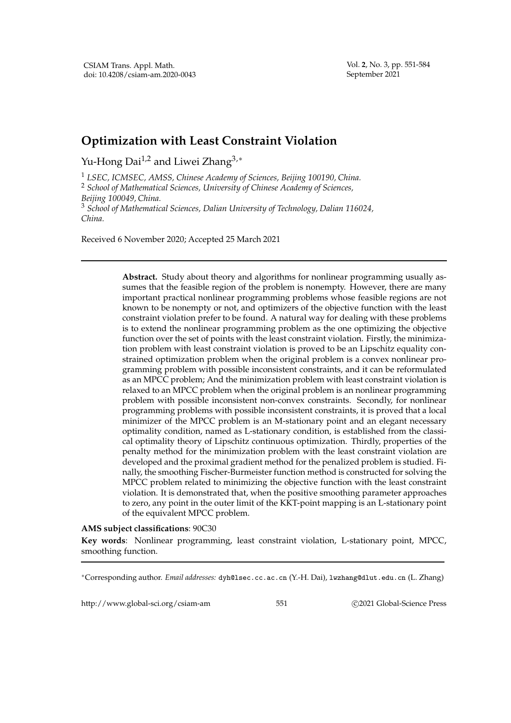Vol. **2**, No. 3, pp. 551-584 September 2021

## **Optimization with Least Constraint Violation**

Yu-Hong Dai<sup>1,2</sup> and Liwei Zhang<sup>3,\*</sup>

<sup>1</sup> *LSEC, ICMSEC, AMSS, Chinese Academy of Sciences, Beijing 100190, China.* <sup>2</sup> *School of Mathematical Sciences, University of Chinese Academy of Sciences, Beijing 100049, China.* <sup>3</sup> *School of Mathematical Sciences, Dalian University of Technology, Dalian 116024, China.*

Received 6 November 2020; Accepted 25 March 2021

**Abstract.** Study about theory and algorithms for nonlinear programming usually assumes that the feasible region of the problem is nonempty. However, there are many important practical nonlinear programming problems whose feasible regions are not known to be nonempty or not, and optimizers of the objective function with the least constraint violation prefer to be found. A natural way for dealing with these problems is to extend the nonlinear programming problem as the one optimizing the objective function over the set of points with the least constraint violation. Firstly, the minimization problem with least constraint violation is proved to be an Lipschitz equality constrained optimization problem when the original problem is a convex nonlinear programming problem with possible inconsistent constraints, and it can be reformulated as an MPCC problem; And the minimization problem with least constraint violation is relaxed to an MPCC problem when the original problem is an nonlinear programming problem with possible inconsistent non-convex constraints. Secondly, for nonlinear programming problems with possible inconsistent constraints, it is proved that a local minimizer of the MPCC problem is an M-stationary point and an elegant necessary optimality condition, named as L-stationary condition, is established from the classical optimality theory of Lipschitz continuous optimization. Thirdly, properties of the penalty method for the minimization problem with the least constraint violation are developed and the proximal gradient method for the penalized problem is studied. Finally, the smoothing Fischer-Burmeister function method is constructed for solving the MPCC problem related to minimizing the objective function with the least constraint violation. It is demonstrated that, when the positive smoothing parameter approaches to zero, any point in the outer limit of the KKT-point mapping is an L-stationary point of the equivalent MPCC problem.

## **AMS subject classifications**: 90C30

**Key words**: Nonlinear programming, least constraint violation, L-stationary point, MPCC, smoothing function.

<sup>∗</sup>Corresponding author. *Email addresses:* dyh@lsec.cc.ac.cn (Y.-H. Dai), lwzhang@dlut.edu.cn (L. Zhang)

http://www.global-sci.org/csiam-am 551 c 2021 Global-Science Press